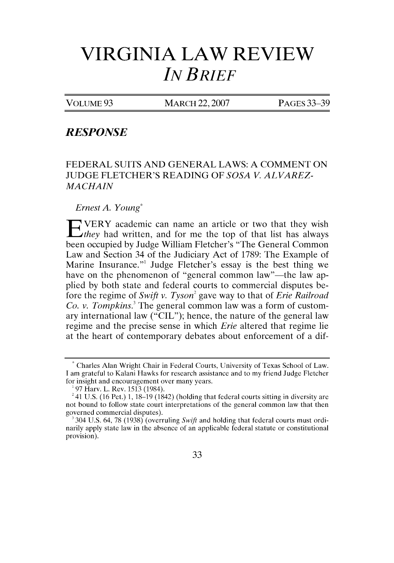## **VIRGINIA LAW REVIEW** *IN BRIEF*

VOLUME 93 MARCH 22,2007 PAGES 33-39

## *RESPONSE*

FEDERAL SUITS AND GENERAL LAWS: A COMMENT ON JUDGE FLETCHER'S READING OF *SOSA V. ALVAREZ-MACHAIN*

*Ernest A. Young\**

**E** VERY academic can name an article or two that they wish *they* had written, and for me the top of that list has always been occupied by Judge William Fletcher's "The General Common Law and Section 34 of the Judiciary Act of 1789: The Example of Marine Insurance."' Judge Fletcher's essay is the best thing we have on the phenomenon of "general common law"—the law applied by both state and federal courts to commercial disputes before the regime of *Swift v. Tyson'* gave way to that of *Erie Railroad Co. v. Tompkins.*<sup>3</sup> The general common law was a form of customary international law ("CIL"); hence, the nature of the general law regime and the precise sense in which *Erie* altered that regime lie at the heart of contemporary debates about enforcement of a dif-

<sup>&#</sup>x27;304 U.S. 64, 78 (1938) (overruling Swift and holding that federal courts must ordinarily apply state law in the absence of an applicable federal statute or constitutional provision).



<sup>\*</sup> Charles Alan Wright Chair in Federal Courts, University of Texas School of Law. I am grateful to Kalani Hawks for research assistance and to my friend Judge Fletcher for insight and encouragement over many years.

<sup>97</sup> Harv. L. Rev. 1513 (1984).

 $^{2}$  41 U.S. (16 Pet.) 1, 18-19 (1842) (holding that federal courts sitting in diversity are not bound to follow state court interpretations of the general common law that then governed commercial disputes).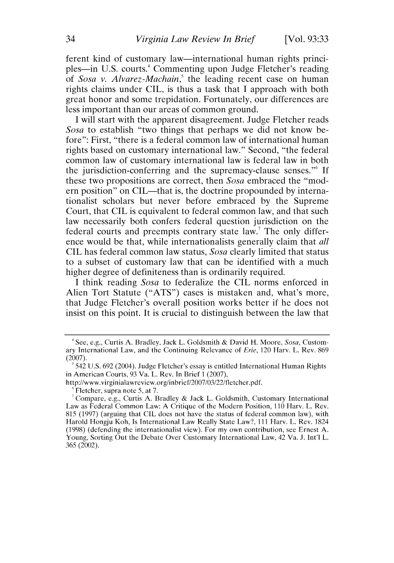ferent kind of customary law—international human rights principles—in U.S. courts.<sup>4</sup> Commenting upon Judge Fletcher's reading of *Sosa v. Alvarez-Machain,'* the leading recent case on human rights claims under CIL, is thus a task that I approach with both great honor and some trepidation. Fortunately, our differences are less important than our areas of common ground.

I will start with the apparent disagreement. Judge Fletcher reads *Sosa* to establish "two things that perhaps we did not know before": First, "there is a federal common law of international human rights based on customary international law." Second, "the federal common law of customary international law is federal law in both the jurisdiction-conferring and the supremacy-clause senses."' If these two propositions are correct, then *Sosa* embraced the "modern position" on CIL—that is, the doctrine propounded by internationalist scholars but never before embraced by the Supreme Court, that CIL is equivalent to federal common law, and that such law necessarily both confers federal question jurisdiction on the federal courts and preempts contrary state law.' The only difference would be that, while internationalists generally claim that *all* CIL has federal common law status, *Sosa* clearly limited that status to a subset of customary law that can be identified with a much higher degree of definiteness than is ordinarily required.

I think reading *Sosa* to federalize the CIL norms enforced in Alien Tort Statute ("ATS") cases is mistaken and, what's more, that Judge Fletcher's overall position works better if he does not insist on this point. It is crucial to distinguish between the law that

<sup>&#</sup>x27;See, e.g., Curtis A. Bradley, Jack L. Goldsmith & David H. Moore, Sosa, Customary International Law, and the Continuing Relevance of Erie, 120 Harv. L. Rev. 869 (2007). **<sup>5</sup>**542 U.S. 692 (2004). Judge Fletcher's essay is entitled International Human Rights

in American Courts, 93 Va. L. Rev. In Brief 1 (2007),

http://www.virginialawreview.org/inbrief/2007/03/22/fletcher.pdf.

Fletcher, supra note 5, at 7.

<sup>&#</sup>x27;Compare, e.g., Curtis A. Bradley & Jack L. Goldsmith, Customary International Law as Federal Common Law: A Critique of the Modern Position, 110 Harv. L. Rev. 815 (1997) (arguing that CIL does not have the status of federal common law), with Harold Hongju Koh, Is International Law Really State Law?, 111 Harv. L. Rev. 1824 (1998) (defending the internationalist view). For my own contribution, see Ernest A. Young, Sorting Out the Debate Over Customary International Law, 42 Va. J. Int'l L. 365 (2002).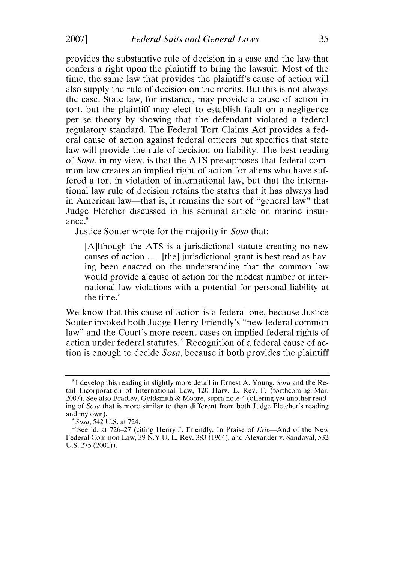provides the substantive rule of decision in a case and the law that confers a right upon the plaintiff to bring the lawsuit. Most of the time, the same law that provides the plaintiff's cause of action will also supply the rule of decision on the merits. But this is not always the case. State law, for instance, may provide a cause of action in tort, but the plaintiff may elect to establish fault on a negligence per se theory by showing that the defendant violated a federal regulatory standard. The Federal Tort Claims Act provides a federal cause of action against federal officers but specifies that state law will provide the rule of decision on liability. The best reading of *Sosa,* in my view, is that the ATS presupposes that federal common law creates an implied right of action for aliens who have suffered a tort in violation of international law, but that the international law rule of decision retains the status that it has always had in American law-that is, it remains the sort of "general law" that Judge Fletcher discussed in his seminal article on marine insurance.<sup>8</sup><br>Justice Souter wrote for the majority in *Sosa* that:

[A]lthough the ATS is a jurisdictional statute creating no new causes of action ... [the] jurisdictional grant is best read as having been enacted on the understanding that the common law would provide a cause of action for the modest number of international law violations with a potential for personal liability at the time. $9$ 

We know that this cause of action is a federal one, because Justice Souter invoked both Judge Henry Friendly's "new federal common law" and the Court's more recent cases on implied federal rights of action under federal statutes.<sup>10</sup> Recognition of a federal cause of action is enough to decide *Sosa,* because it both provides the plaintiff

**I** develop this reading in slightly more detail in Ernest **A.** Young, Sosa and the Retail Incorporation of International Law, 120 Harv. L. Rev. F. (forthcoming Mar. 2007). See also Bradley, Goldsmith & Moore, supra note 4 (offering yet another reading of *Sosa* that is more similar to than different from both Judge Fletcher's reading and my own).

Sosa, 542 U.S. at 724.

 $^{10}$  See id. at 726–27 (citing Henry J. Friendly, In Praise of *Erie*—And of the New Federal Common Law, 39 N.Y.U. L. Rev. 383 (1964), and Alexander v. Sandoval, 532 U.S. 275 (2001)).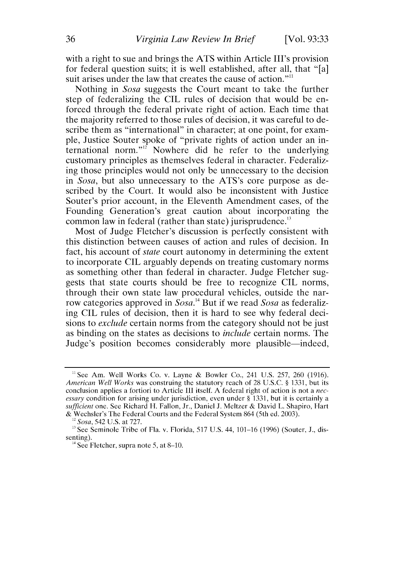with a right to sue and brings the ATS within Article III's provision for federal question suits; it is well established, after all, that "[a] suit arises under the law that creates the cause of action."<sup>11</sup>

Nothing in *Sosa* suggests the Court meant to take the further step of federalizing the CIL rules of decision that would be enforced through the federal private right of action. Each time that the majority referred to those rules of decision, it was careful to describe them as "international" in character; at one point, for example, Justice Souter spoke of "private rights of action under an international norm."'2 Nowhere did he refer to the underlying customary principles as themselves federal in character. Federalizing those principles would not only be unnecessary to the decision in *Sosa,* but also unnecessary to the ATS's core purpose as described by the Court. It would also be inconsistent with Justice Souter's prior account, in the Eleventh Amendment cases, of the Founding Generation's great caution about incorporating the common law in federal (rather than state) jurisprudence.<sup>13</sup>

Most of Judge Fletcher's discussion is perfectly consistent with this distinction between causes of action and rules of decision. In fact, his account of *state* court autonomy in determining the extent to incorporate CIL arguably depends on treating customary norms as something other than federal in character. Judge Fletcher suggests that state courts should be free to recognize CIL norms, through their own state law procedural vehicles, outside the narrow categories approved in  $Sosa$ .<sup>14</sup> But if we read *Sosa* as federalizing CIL rules of decision, then it is hard to see why federal decisions to *exclude* certain norms from the category should not be just as binding on the states as decisions to *include* certain norms. The Judge's position becomes considerably more plausible-indeed,

<sup>&</sup>lt;sup>11</sup> See Am. Well Works Co. v. Layne & Bowler Co., 241 U.S. 257, 260 (1916). American Well *Works* was construing the statutory reach of **28 U.S.C.** § 1331, but its conclusion applies a fortiori to Article **III** itself. A federal right of action is not a *necessary* condition for arising under jurisdiction, even under § 1331, but it is certainly a *sufficient* one. See Richard H. Fallon, Jr., Daniel J. Meltzer & David L. Shapiro, Hart & Wechsler's The Federal Courts and the Federal System 864 (5th ed. 2003).

*<sup>&</sup>quot; Sosa,* 542 U.S. at 727.

 $13$  See Seminole Tribe of Fla. v. Florida, 517 U.S. 44, 101–16 (1996) (Souter, J., dissenting).

**<sup>&</sup>quot;** See Fletcher, supra note 5, at 8-10.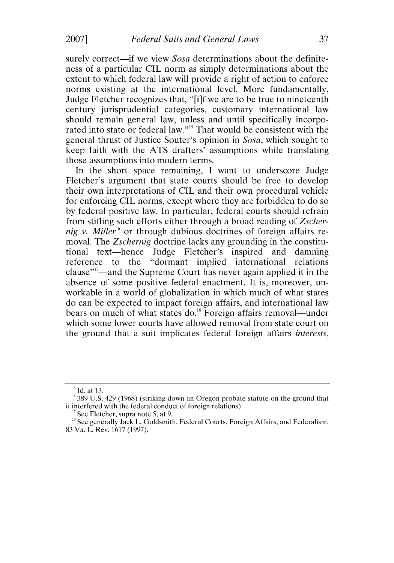surely correct—if we view *Sosa* determinations about the definiteness of a particular CIL norm as simply determinations about the extent to which federal law will provide a right of action to enforce norms existing at the international level. More fundamentally, Judge Fletcher recognizes that, "[i]f we are to be true to nineteenth century jurisprudential categories, customary international law should remain general law, unless and until specifically incorporated into state or federal law."<sup>15</sup> That would be consistent with the general thrust of Justice Souter's opinion in *Sosa,* which sought to keep faith with the ATS drafters' assumptions while translating those assumptions into modern terms.

In the short space remaining, I want to underscore Judge Fletcher's argument that state courts should be free to develop their own interpretations of CIL and their own procedural vehicle for enforcing CIL norms, except where they are forbidden to do so by federal positive law. In particular, federal courts should refrain from stifling such efforts either through a broad reading of *Zscher*nig *v. Miller<sup>16</sup>* or through dubious doctrines of foreign affairs removal. The *Zschernig* doctrine lacks any grounding in the constitutional text-hence Judge Fletcher's inspired and damning reference to the "dormant implied international relations clause"<sup>17</sup>—and the Supreme Court has never again applied it in the absence of some positive federal enactment. It is, moreover, unworkable in a world of globalization in which much of what states do can be expected to impact foreign affairs, and international law bears on much of what states do.<sup>18</sup> Foreign affairs removal—under which some lower courts have allowed removal from state court on the ground that a suit implicates federal foreign affairs *interests,*

 $15$  Id. at 13.

<sup>&</sup>lt;sup>16</sup> 389 U.S. 429 (1968) (striking down an Oregon probate statute on the ground that it interfered with the federal conduct of foreign relations).

See Fletcher, supra note 5, at 9.

<sup>&</sup>lt;sup>18</sup> See generally Jack L. Goldsmith, Federal Courts, Foreign Affairs, and Federalism, 83 Va. L. Rev. 1617 (1997).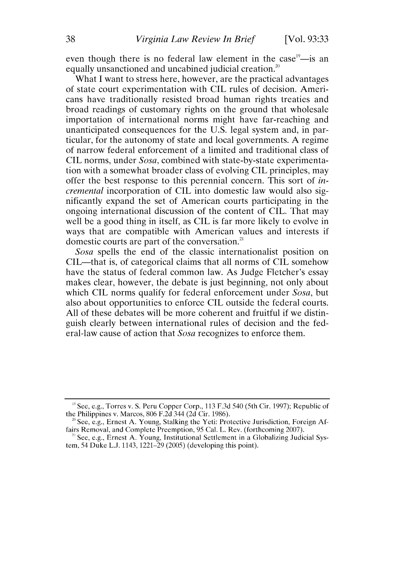even though there is no federal law element in the case<sup>19</sup>—is an equally unsanctioned and uncabined judicial creation."

What I want to stress here, however, are the practical advantages of state court experimentation with CIL rules of decision. Americans have traditionally resisted broad human rights treaties and broad readings of customary rights on the ground that wholesale importation of international norms might have far-reaching and unanticipated consequences for the U.S. legal system and, in particular, for the autonomy of state and local governments. A regime of narrow federal enforcement of a limited and traditional class of CIL norms, under *Sosa,* combined with state-by-state experimentation with a somewhat broader class of evolving CIL principles, may offer the best response to this perennial concern. This sort of *incremental* incorporation of CIL into domestic law would also significantly expand the set of American courts participating in the ongoing international discussion of the content of CIL. That may well be a good thing in itself, as CIL is far more likely to evolve in ways that are compatible with American values and interests if domestic courts are part of the conversation.<sup>21</sup>

*Sosa* spells the end of the classic internationalist position on CIL-that is, of categorical claims that all norms of CIL somehow have the status of federal common law. As Judge Fletcher's essay makes clear, however, the debate is just beginning, not only about which CIL norms qualify for federal enforcement under *Sosa,* but also about opportunities to enforce CIL outside the federal courts. All of these debates will be more coherent and fruitful if we distinguish clearly between international rules of decision and the federal-law cause of action that *Sosa* recognizes to enforce them.

**<sup>&</sup>quot;** See, e.g., Torres v. S. Peru Copper Corp., 113 F.3d 540 (5th Cir. 1997); Republic of the Philippines v. Marcos, 806 F.2d 344 (2d Cir. 1986).

**<sup>&</sup>quot;** See, e.g., Ernest A. Young, Stalking the Yeti: Protective Jurisdiction, Foreign **Af**fairs Removal, and Complete Preemption, 95 Cal. L. Rev. (forthcoming 2007).

**<sup>&</sup>quot;** See, e.g., Ernest A. Young, Institutional Settlement in a Globalizing Judicial System, 54 Duke L.J. 1143, 1221-29 (2005) (developing this point).